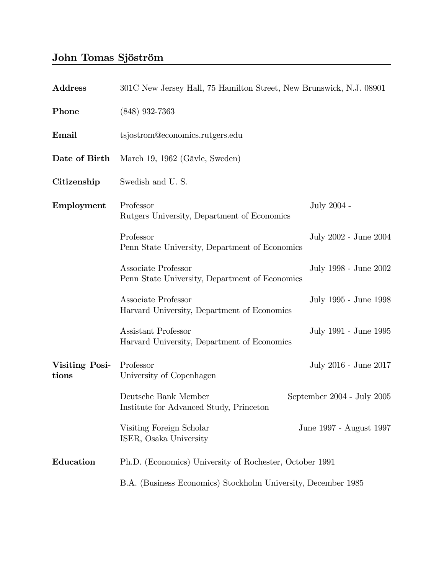## John Tomas Sjöström

| <b>Address</b>          | 301C New Jersey Hall, 75 Hamilton Street, New Brunswick, N.J. 08901                               |                         |
|-------------------------|---------------------------------------------------------------------------------------------------|-------------------------|
| Phone                   | $(848)$ 932-7363                                                                                  |                         |
| Email                   | tsjostrom@economics.rutgers.edu                                                                   |                         |
| Date of Birth           | March 19, 1962 (Gävle, Sweden)                                                                    |                         |
| Citizenship             | Swedish and U.S.                                                                                  |                         |
| Employment              | Professor<br>Rutgers University, Department of Economics                                          | July 2004 -             |
|                         | Professor<br>Penn State University, Department of Economics                                       | July 2002 - June 2004   |
|                         | Associate Professor<br>Penn State University, Department of Economics                             | July 1998 - June 2002   |
|                         | Associate Professor<br>Harvard University, Department of Economics                                | July 1995 - June 1998   |
|                         | Assistant Professor<br>Harvard University, Department of Economics                                | July 1991 - June 1995   |
| Visiting Posi-<br>tions | Professor<br>University of Copenhagen                                                             | July 2016 - June 2017   |
|                         | Deutsche Bank Member<br>September $2004$ - July $2005$<br>Institute for Advanced Study, Princeton |                         |
|                         | Visiting Foreign Scholar<br>ISER, Osaka University                                                | June 1997 - August 1997 |
| Education               | Ph.D. (Economics) University of Rochester, October 1991                                           |                         |
|                         | B.A. (Business Economics) Stockholm University, December 1985                                     |                         |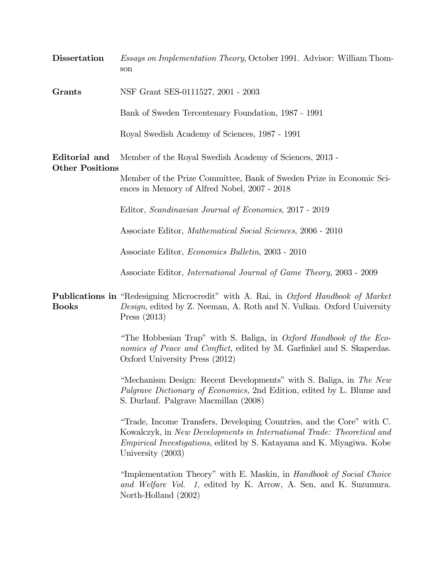| <b>Dissertation</b>                     | <i>Essays on Implementation Theory</i> , October 1991. Advisor: William Thom-<br>son                                                                                                                                                                    |  |
|-----------------------------------------|---------------------------------------------------------------------------------------------------------------------------------------------------------------------------------------------------------------------------------------------------------|--|
| Grants                                  | NSF Grant SES-0111527, 2001 - 2003                                                                                                                                                                                                                      |  |
|                                         | Bank of Sweden Tercentenary Foundation, 1987 - 1991                                                                                                                                                                                                     |  |
|                                         | Royal Swedish Academy of Sciences, 1987 - 1991                                                                                                                                                                                                          |  |
| Editorial and<br><b>Other Positions</b> | Member of the Royal Swedish Academy of Sciences, 2013 -                                                                                                                                                                                                 |  |
|                                         | Member of the Prize Committee, Bank of Sweden Prize in Economic Sci-<br>ences in Memory of Alfred Nobel, 2007 - 2018                                                                                                                                    |  |
|                                         | Editor, Scandinavian Journal of Economics, 2017 - 2019                                                                                                                                                                                                  |  |
|                                         | Associate Editor, Mathematical Social Sciences, 2006 - 2010                                                                                                                                                                                             |  |
|                                         | Associate Editor, <i>Economics Bulletin</i> , 2003 - 2010                                                                                                                                                                                               |  |
|                                         | Associate Editor, <i>International Journal of Game Theory</i> , 2003 - 2009                                                                                                                                                                             |  |
| <b>Books</b>                            | <b>Publications in</b> "Redesigning Microcredit" with A. Rai, in Oxford Handbook of Market<br>Design, edited by Z. Neeman, A. Roth and N. Vulkan. Oxford University<br>Press $(2013)$                                                                   |  |
|                                         | "The Hobbesian Trap" with S. Baliga, in <i>Oxford Handbook of the Eco-</i><br>nomics of Peace and Conflict, edited by M. Garfinkel and S. Skaperdas.<br>Oxford University Press (2012)                                                                  |  |
|                                         | "Mechanism Design: Recent Developments" with S. Baliga, in The New<br>Palgrave Dictionary of Economics, 2nd Edition, edited by L. Blume and<br>S. Durlauf. Palgrave Macmillan (2008)                                                                    |  |
|                                         | "Trade, Income Transfers, Developing Countries, and the Core" with C.<br>Kowalczyk, in New Developments in International Trade: Theoretical and<br><i>Empirical Investigations</i> , edited by S. Katayama and K. Miyagiwa. Kobe<br>University $(2003)$ |  |
|                                         | "Implementation Theory" with E. Maskin, in <i>Handbook of Social Choice</i><br>and Welfare Vol. 1, edited by K. Arrow, A. Sen, and K. Suzumura.<br>North-Holland (2002)                                                                                 |  |
|                                         |                                                                                                                                                                                                                                                         |  |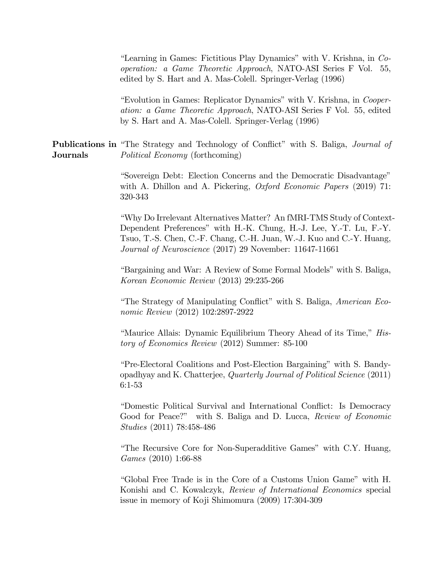"Learning in Games: Fictitious Play Dynamics" with V. Krishna, in Co*operation: a Game Theoretic Approach*, NATO-ASI Series F Vol. 55, edited by S. Hart and A. Mas-Colell. Springer-Verlag (1996)

"Evolution in Games: Replicator Dynamics" with V. Krishna, in Cooperation: a Game Theoretic Approach, NATO-ASI Series F Vol. 55, edited by S. Hart and A. Mas-Colell. Springer-Verlag (1996)

**Publications in** "The Strategy and Technology of Conflict" with S. Baliga, *Journal of* **Journals** *Political Economy* (forthcoming)

> "Sovereign Debt: Election Concerns and the Democratic Disadvantage" with A. Dhillon and A. Pickering, *Oxford Economic Papers* (2019) 71: 320-343

"Why Do Irrelevant Alternatives Matter? An fMRI-TMS Study of Context-Dependent Preferences" with H.-K. Chung, H.-J. Lee, Y.-T. Lu, F.-Y. Tsuo, T.-S. Chen, C.-F. Chang, C.-H. Juan, W.-J. Kuo and C.-Y. Huang, Journal of Neuroscience (2017) 29 November: 11647-11661

"Bargaining and War: A Review of Some Formal Models" with S. Baliga, Korean Economic Review (2013) 29:235-266

"The Strategy of Manipulating Conflict" with S. Baliga, *American Eco*nomic Review (2012) 102:2897-2922

"Maurice Allais: Dynamic Equilibrium Theory Ahead of its Time," *His*tory of Economics Review (2012) Summer: 85-100

"Pre-Electoral Coalitions and Post-Election Bargaining" with S. Bandyopadhyay and K. Chatterjee, *Quarterly Journal of Political Science* (2011)  $6:1-53$ 

"Domestic Political Survival and International Conflict: Is Democracy Good for Peace?" with S. Baliga and D. Lucca, Review of Economic *Studies* (2011) 78:458-486

"The Recursive Core for Non-Superadditive Games" with C.Y. Huang, Games (2010) 1:66-88

"Global Free Trade is in the Core of a Customs Union Game" with H. Konishi and C. Kowalczyk, Review of International Economics special issue in memory of Koji Shimomura (2009) 17:304-309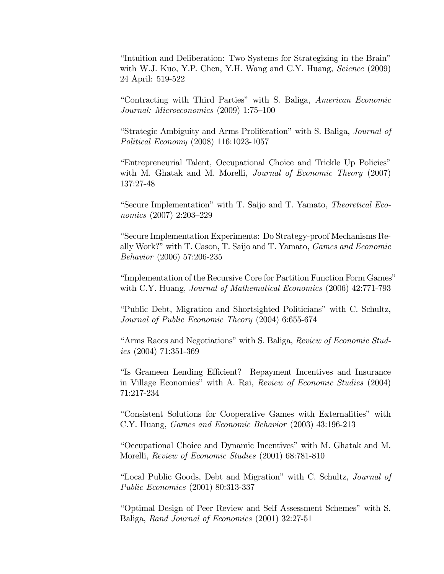"Intuition and Deliberation: Two Systems for Strategizing in the Brain" with W.J. Kuo, Y.P. Chen, Y.H. Wang and C.Y. Huang, Science (2009) 24 April: 519-522

"Contracting with Third Parties" with S. Baliga, American Economic Journal: Microeconomics (2009) 1:75-100

"Strategic Ambiguity and Arms Proliferation" with S. Baliga, Journal of *Political Economy* (2008) 116:1023-1057

"Entrepreneurial Talent, Occupational Choice and Trickle Up Policies" with M. Ghatak and M. Morelli, *Journal of Economic Theory* (2007) 137:27-48

"Secure Implementation" with T. Saijo and T. Yamato, Theoretical Eco*nomics* (2007) 2:203-229

"Secure Implementation Experiments: Do Strategy-proof Mechanisms Really Work?" with T. Cason, T. Saijo and T. Yamato, *Games and Economic Behavior* (2006) 57:206-235

"Implementation of the Recursive Core for Partition Function Form Games" with C.Y. Huang, Journal of Mathematical Economics (2006) 42:771-793

"Public Debt, Migration and Shortsighted Politicians" with C. Schultz, Journal of Public Economic Theory (2004) 6:655-674

"Arms Races and Negotiations" with S. Baliga, Review of Economic Stud $ies(2004) 71:351-369$ 

"Is Grameen Lending Efficient? Repayment Incentives and Insurance in Village Economies" with A. Rai, Review of Economic Studies (2004) 71:217-234

"Consistent Solutions for Cooperative Games with Externalities" with C.Y. Huang, *Games and Economic Behavior* (2003) 43:196-213

"Occupational Choice and Dynamic Incentives" with M. Ghatak and M. Morelli, Review of Economic Studies (2001) 68:781-810

"Local Public Goods, Debt and Migration" with C. Schultz, Journal of *Public Economics* (2001) 80:313-337

"Optimal Design of Peer Review and Self Assessment Schemes" with S. Baliga, Rand Journal of Economics (2001) 32:27-51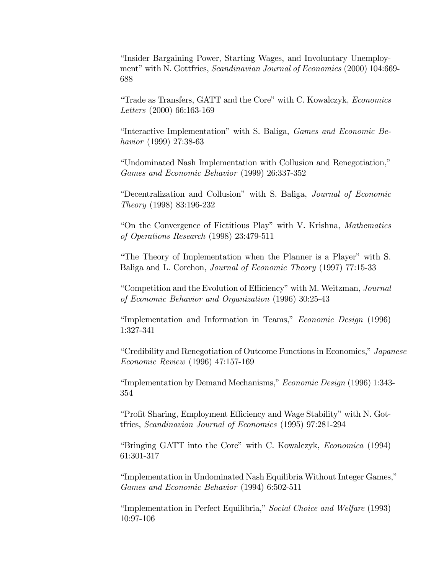"Insider Bargaining Power, Starting Wages, and Involuntary Unemployment" with N. Gottfries, *Scandinavian Journal of Economics* (2000) 104:669-688

"Trade as Transfers, GATT and the Core" with C. Kowalczyk, *Economics* Letters (2000) 66:163-169

"Interactive Implementation" with S. Baliga, *Games and Economic Be*havior (1999) 27:38-63

"Undominated Nash Implementation with Collusion and Renegotiation," Games and Economic Behavior (1999) 26:337-352

"Decentralization and Collusion" with S. Baliga, Journal of Economic *Theory* (1998) 83:196-232

"On the Convergence of Fictitious Play" with V. Krishna, Mathematics of Operations Research (1998) 23:479-511

"The Theory of Implementation when the Planner is a Player" with S. Baliga and L. Corchon, *Journal of Economic Theory* (1997) 77:15-33

"Competition and the Evolution of Efficiency" with M. Weitzman, Journal of Economic Behavior and Organization (1996) 30:25-43

"Implementation and Information in Teams," Economic Design (1996) 1:327-341

"Credibility and Renegotiation of Outcome Functions in Economics," Japanese *Economic Review* (1996) 47:157-169

"Implementation by Demand Mechanisms," Economic Design (1996) 1:343-354

"Profit Sharing, Employment Efficiency and Wage Stability" with N. Gottfries, Scandinavian Journal of Economics (1995) 97:281-294

"Bringing GATT into the Core" with C. Kowalczyk, *Economica* (1994) 61:301-317

"Implementation in Undominated Nash Equilibria Without Integer Games," Games and Economic Behavior (1994) 6:502-511

"Implementation in Perfect Equilibria," Social Choice and Welfare (1993) 10:97-106